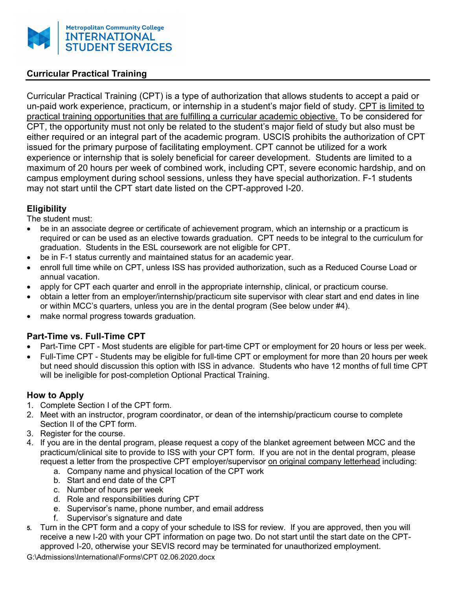

## Curricular Practical Training

Curricular Practical Training (CPT) is a type of authorization that allows students to accept a paid or un-paid work experience, practicum, or internship in a student's major field of study. CPT is limited to practical training opportunities that are fulfilling a curricular academic objective. To be considered for CPT, the opportunity must not only be related to the student's major field of study but also must be either required or an integral part of the academic program. USCIS prohibits the authorization of CPT issued for the primary purpose of facilitating employment. CPT cannot be utilized for a work experience or internship that is solely beneficial for career development. Students are limited to a maximum of 20 hours per week of combined work, including CPT, severe economic hardship, and on campus employment during school sessions, unless they have special authorization. F-1 students may not start until the CPT start date listed on the CPT-approved I-20.

### **Eligibility**

The student must:

- be in an associate degree or certificate of achievement program, which an internship or a practicum is required or can be used as an elective towards graduation. CPT needs to be integral to the curriculum for graduation. Students in the ESL coursework are not eligible for CPT.
- be in F-1 status currently and maintained status for an academic year.
- enroll full time while on CPT, unless ISS has provided authorization, such as a Reduced Course Load or annual vacation.
- apply for CPT each quarter and enroll in the appropriate internship, clinical, or practicum course.
- obtain a letter from an employer/internship/practicum site supervisor with clear start and end dates in line or within MCC's quarters, unless you are in the dental program (See below under #4).
- make normal progress towards graduation.

# Part-Time vs. Full-Time CPT

- Part-Time CPT Most students are eligible for part-time CPT or employment for 20 hours or less per week.
- Full-Time CPT Students may be eligible for full-time CPT or employment for more than 20 hours per week but need should discussion this option with ISS in advance. Students who have 12 months of full time CPT will be ineligible for post-completion Optional Practical Training.

### How to Apply

- 1. Complete Section I of the CPT form.
- 2. Meet with an instructor, program coordinator, or dean of the internship/practicum course to complete Section II of the CPT form.
- 3. Register for the course.
- 4. If you are in the dental program, please request a copy of the blanket agreement between MCC and the practicum/clinical site to provide to ISS with your CPT form. If you are not in the dental program, please request a letter from the prospective CPT employer/supervisor on original company letterhead including:
	- a. Company name and physical location of the CPT work
	- b. Start and end date of the CPT
	- c. Number of hours per week
	- d. Role and responsibilities during CPT
	- e. Supervisor's name, phone number, and email address
	- f. Supervisor's signature and date
- 5. Turn in the CPT form and a copy of your schedule to ISS for review. If you are approved, then you will receive a new I-20 with your CPT information on page two. Do not start until the start date on the CPTapproved I-20, otherwise your SEVIS record may be terminated for unauthorized employment.
- G:\Admissions\International\Forms\CPT 02.06.2020.docx